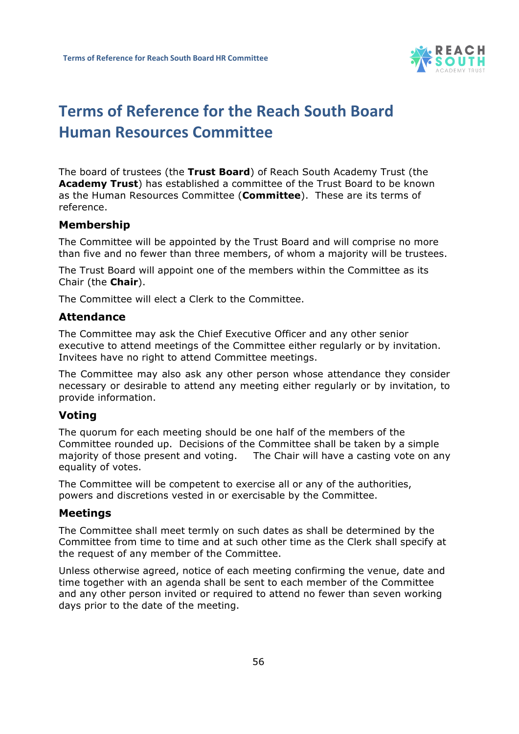

# **Terms of Reference for the Reach South Board Human Resources Committee**

The board of trustees (the **Trust Board**) of Reach South Academy Trust (the **Academy Trust**) has established a committee of the Trust Board to be known as the Human Resources Committee (**Committee**). These are its terms of reference.

### **Membership**

The Committee will be appointed by the Trust Board and will comprise no more than five and no fewer than three members, of whom a majority will be trustees.

The Trust Board will appoint one of the members within the Committee as its Chair (the **Chair**).

The Committee will elect a Clerk to the Committee.

#### **Attendance**

The Committee may ask the Chief Executive Officer and any other senior executive to attend meetings of the Committee either regularly or by invitation. Invitees have no right to attend Committee meetings.

The Committee may also ask any other person whose attendance they consider necessary or desirable to attend any meeting either regularly or by invitation, to provide information.

### **Voting**

The quorum for each meeting should be one half of the members of the Committee rounded up. Decisions of the Committee shall be taken by a simple majority of those present and voting. The Chair will have a casting vote on any equality of votes.

The Committee will be competent to exercise all or any of the authorities, powers and discretions vested in or exercisable by the Committee.

### **Meetings**

The Committee shall meet termly on such dates as shall be determined by the Committee from time to time and at such other time as the Clerk shall specify at the request of any member of the Committee.

Unless otherwise agreed, notice of each meeting confirming the venue, date and time together with an agenda shall be sent to each member of the Committee and any other person invited or required to attend no fewer than seven working days prior to the date of the meeting.